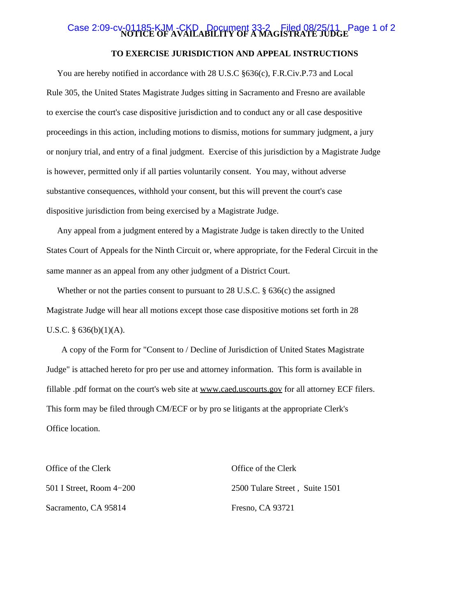# Case 2:09-cv-01185-KJM -CKD Document 33-2 GFiled 08/25/11 Page 1 of 2

### **TO EXERCISE JURISDICTION AND APPEAL INSTRUCTIONS**

 You are hereby notified in accordance with 28 U.S.C §636(c), F.R.Civ.P.73 and Local Rule 305, the United States Magistrate Judges sitting in Sacramento and Fresno are available to exercise the court's case dispositive jurisdiction and to conduct any or all case despositive proceedings in this action, including motions to dismiss, motions for summary judgment, a jury or nonjury trial, and entry of a final judgment. Exercise of this jurisdiction by a Magistrate Judge is however, permitted only if all parties voluntarily consent. You may, without adverse substantive consequences, withhold your consent, but this will prevent the court's case dispositive jurisdiction from being exercised by a Magistrate Judge.

 Any appeal from a judgment entered by a Magistrate Judge is taken directly to the United States Court of Appeals for the Ninth Circuit or, where appropriate, for the Federal Circuit in the same manner as an appeal from any other judgment of a District Court.

 Whether or not the parties consent to pursuant to 28 U.S.C. § 636(c) the assigned Magistrate Judge will hear all motions except those case dispositive motions set forth in 28 U.S.C.  $\S$  636(b)(1)(A).

 A copy of the Form for "Consent to / Decline of Jurisdiction of United States Magistrate Judge" is attached hereto for pro per use and attorney information. This form is available in fillable .pdf format on the court's web site at www.caed.uscourts.gov for all attorney ECF filers. This form may be filed through CM/ECF or by pro se litigants at the appropriate Clerk's Office location.

| Office of the Clerk      | Office of the Clerk            |
|--------------------------|--------------------------------|
| 501 I Street, Room 4–200 | 2500 Tulare Street, Suite 1501 |
| Sacramento, CA 95814     | Fresno, CA 93721               |